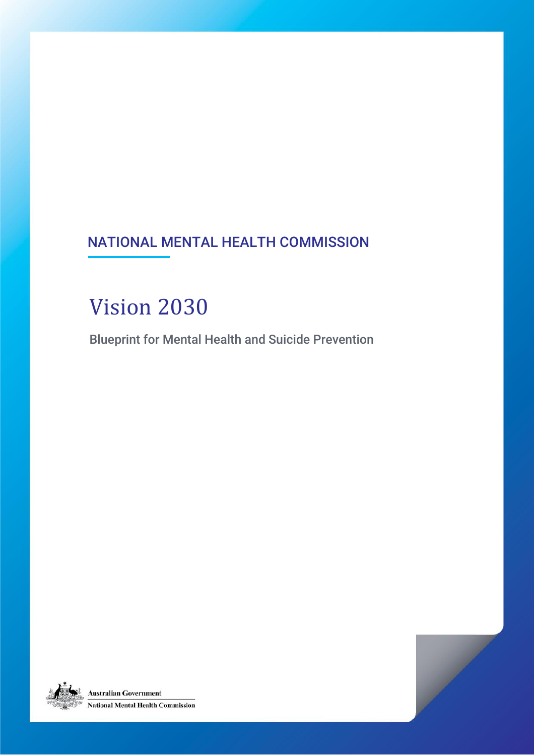### NATIONAL MENTAL HEALTH COMMISSION

# Vision 2030

Blueprint for Mental Health and Suicide Prevention

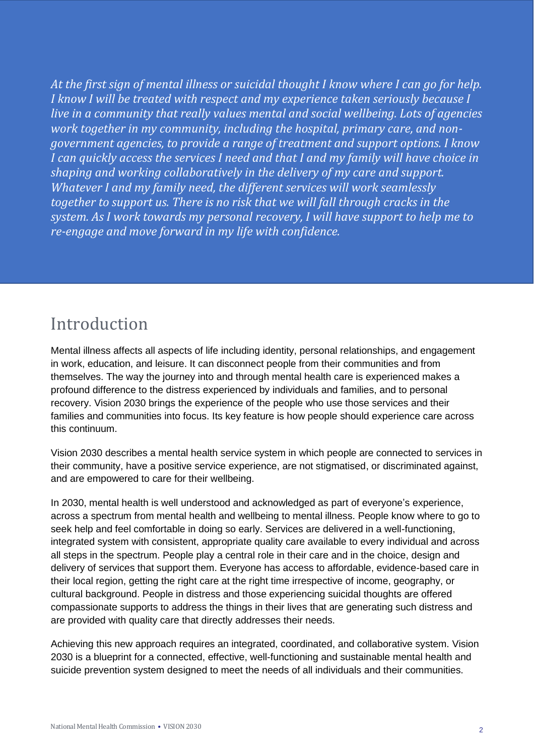*At the first sign of mental illness or suicidal thought I know where I can go for help. I know I will be treated with respect and my experience taken seriously because I live in a community that really values mental and social wellbeing. Lots of agencies work together in my community, including the hospital, primary care, and nongovernment agencies, to provide a range of treatment and support options. I know I can quickly access the services I need and that I and my family will have choice in shaping and working collaboratively in the delivery of my care and support. Whatever I and my family need, the different services will work seamlessly together to support us. There is no risk that we will fall through cracks in the system. As I work towards my personal recovery, I will have support to help me to re-engage and move forward in my life with confidence.* 

### Introduction

Mental illness affects all aspects of life including identity, personal relationships, and engagement in work, education, and leisure. It can disconnect people from their communities and from themselves. The way the journey into and through mental health care is experienced makes a profound difference to the distress experienced by individuals and families, and to personal recovery. Vision 2030 brings the experience of the people who use those services and their families and communities into focus. Its key feature is how people should experience care across this continuum.

Vision 2030 describes a mental health service system in which people are connected to services in their community, have a positive service experience, are not stigmatised, or discriminated against, and are empowered to care for their wellbeing.

In 2030, mental health is well understood and acknowledged as part of everyone's experience, across a spectrum from mental health and wellbeing to mental illness. People know where to go to seek help and feel comfortable in doing so early. Services are delivered in a well-functioning, integrated system with consistent, appropriate quality care available to every individual and across all steps in the spectrum. People play a central role in their care and in the choice, design and delivery of services that support them. Everyone has access to affordable, evidence-based care in their local region, getting the right care at the right time irrespective of income, geography, or cultural background. People in distress and those experiencing suicidal thoughts are offered compassionate supports to address the things in their lives that are generating such distress and are provided with quality care that directly addresses their needs.

Achieving this new approach requires an integrated, coordinated, and collaborative system. Vision 2030 is a blueprint for a connected, effective, well-functioning and sustainable mental health and suicide prevention system designed to meet the needs of all individuals and their communities.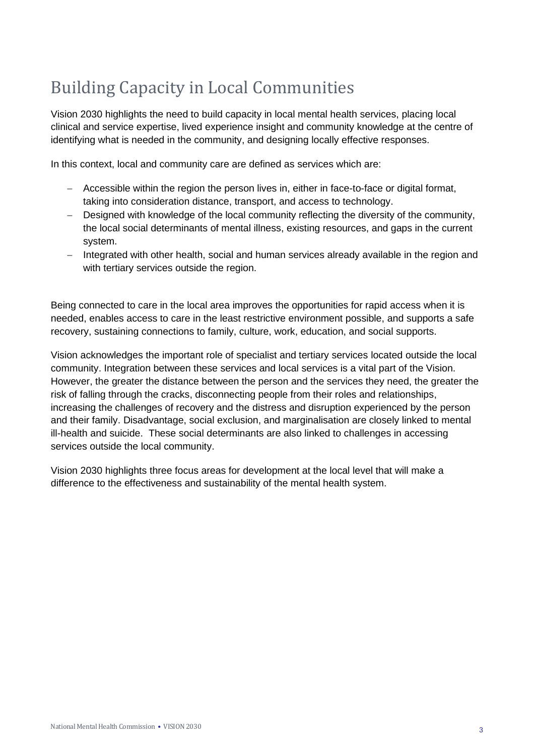## Building Capacity in Local Communities

Vision 2030 highlights the need to build capacity in local mental health services, placing local clinical and service expertise, lived experience insight and community knowledge at the centre of identifying what is needed in the community, and designing locally effective responses.

In this context, local and community care are defined as services which are:

- − Accessible within the region the person lives in, either in face-to-face or digital format, taking into consideration distance, transport, and access to technology.
- − Designed with knowledge of the local community reflecting the diversity of the community, the local social determinants of mental illness, existing resources, and gaps in the current system.
- − Integrated with other health, social and human services already available in the region and with tertiary services outside the region.

Being connected to care in the local area improves the opportunities for rapid access when it is needed, enables access to care in the least restrictive environment possible, and supports a safe recovery, sustaining connections to family, culture, work, education, and social supports.

Vision acknowledges the important role of specialist and tertiary services located outside the local community. Integration between these services and local services is a vital part of the Vision. However, the greater the distance between the person and the services they need, the greater the risk of falling through the cracks, disconnecting people from their roles and relationships, increasing the challenges of recovery and the distress and disruption experienced by the person and their family. Disadvantage, social exclusion, and marginalisation are closely linked to mental ill-health and suicide. These social determinants are also linked to challenges in accessing services outside the local community.

Vision 2030 highlights three focus areas for development at the local level that will make a difference to the effectiveness and sustainability of the mental health system.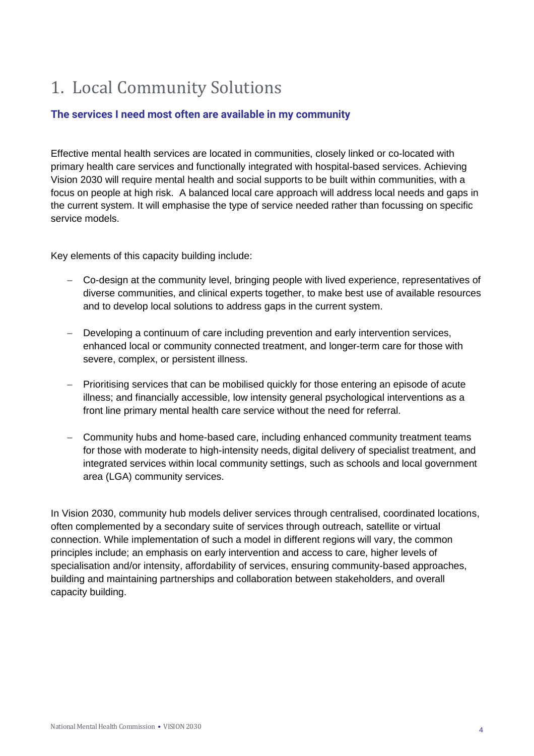## 1. Local Community Solutions

### **The services I need most often are available in my community**

Effective mental health services are located in communities, closely linked or co-located with primary health care services and functionally integrated with hospital-based services. Achieving Vision 2030 will require mental health and social supports to be built within communities, with a focus on people at high risk. A balanced local care approach will address local needs and gaps in the current system. It will emphasise the type of service needed rather than focussing on specific service models.

Key elements of this capacity building include:

- − Co-design at the community level, bringing people with lived experience, representatives of diverse communities, and clinical experts together, to make best use of available resources and to develop local solutions to address gaps in the current system.
- − Developing a continuum of care including prevention and early intervention services, enhanced local or community connected treatment, and longer-term care for those with severe, complex, or persistent illness.
- − Prioritising services that can be mobilised quickly for those entering an episode of acute illness; and financially accessible, low intensity general psychological interventions as a front line primary mental health care service without the need for referral.
- − Community hubs and home-based care, including enhanced community treatment teams for those with moderate to high-intensity needs, digital delivery of specialist treatment, and integrated services within local community settings, such as schools and local government area (LGA) community services.

In Vision 2030, community hub models deliver services through centralised, coordinated locations, often complemented by a secondary suite of services through outreach, satellite or virtual connection. While implementation of such a model in different regions will vary, the common principles include; an emphasis on early intervention and access to care, higher levels of specialisation and/or intensity, affordability of services, ensuring community-based approaches, building and maintaining partnerships and collaboration between stakeholders, and overall capacity building.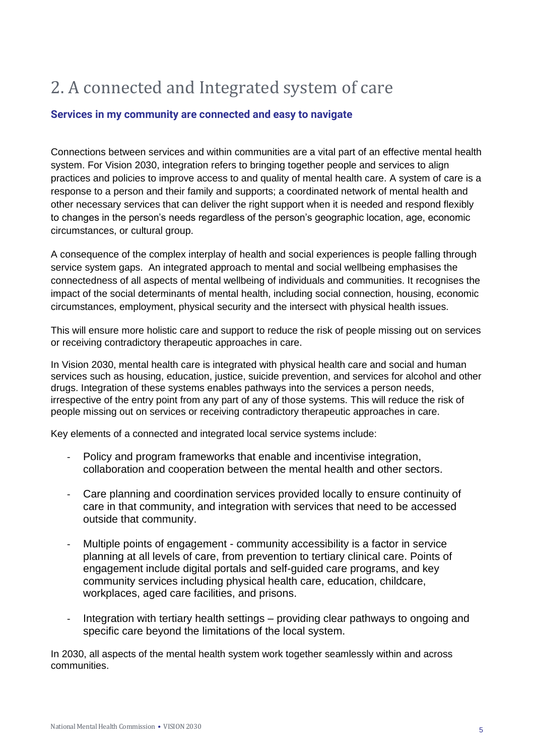## 2. A connected and Integrated system of care

#### **Services in my community are connected and easy to navigate**

Connections between services and within communities are a vital part of an effective mental health system. For Vision 2030, integration refers to bringing together people and services to align practices and policies to improve access to and quality of mental health care. A system of care is a response to a person and their family and supports; a coordinated network of mental health and other necessary services that can deliver the right support when it is needed and respond flexibly to changes in the person's needs regardless of the person's geographic location, age, economic circumstances, or cultural group.

A consequence of the complex interplay of health and social experiences is people falling through service system gaps. An integrated approach to mental and social wellbeing emphasises the connectedness of all aspects of mental wellbeing of individuals and communities. It recognises the impact of the social determinants of mental health, including social connection, housing, economic circumstances, employment, physical security and the intersect with physical health issues.

This will ensure more holistic care and support to reduce the risk of people missing out on services or receiving contradictory therapeutic approaches in care.

In Vision 2030, mental health care is integrated with physical health care and social and human services such as housing, education, justice, suicide prevention, and services for alcohol and other drugs. Integration of these systems enables pathways into the services a person needs, irrespective of the entry point from any part of any of those systems. This will reduce the risk of people missing out on services or receiving contradictory therapeutic approaches in care.

Key elements of a connected and integrated local service systems include:

- Policy and program frameworks that enable and incentivise integration, collaboration and cooperation between the mental health and other sectors.
- Care planning and coordination services provided locally to ensure continuity of care in that community, and integration with services that need to be accessed outside that community.
- Multiple points of engagement community accessibility is a factor in service planning at all levels of care, from prevention to tertiary clinical care. Points of engagement include digital portals and self-guided care programs, and key community services including physical health care, education, childcare, workplaces, aged care facilities, and prisons.
- Integration with tertiary health settings providing clear pathways to ongoing and specific care beyond the limitations of the local system.

In 2030, all aspects of the mental health system work together seamlessly within and across communities.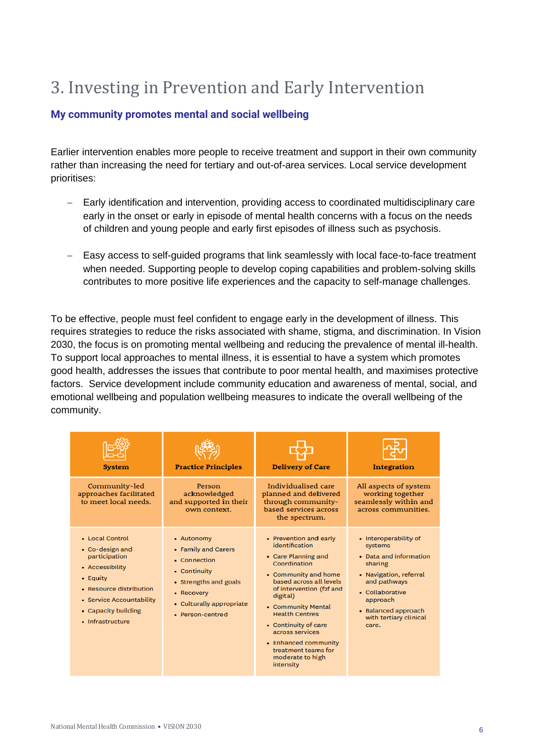## 3. Investing in Prevention and Early Intervention

#### **My community promotes mental and social wellbeing**

Earlier intervention enables more people to receive treatment and support in their own community rather than increasing the need for tertiary and out-of-area services. Local service development prioritises:

- − Early identification and intervention, providing access to coordinated multidisciplinary care early in the onset or early in episode of mental health concerns with a focus on the needs of children and young people and early first episodes of illness such as psychosis.
- − Easy access to self-guided programs that link seamlessly with local face-to-face treatment when needed. Supporting people to develop coping capabilities and problem-solving skills contributes to more positive life experiences and the capacity to self-manage challenges.

To be effective, people must feel confident to engage early in the development of illness. This requires strategies to reduce the risks associated with shame, stigma, and discrimination. In Vision 2030, the focus is on promoting mental wellbeing and reducing the prevalence of mental ill-health. To support local approaches to mental illness, it is essential to have a system which promotes good health, addresses the issues that contribute to poor mental health, and maximises protective factors. Service development include community education and awareness of mental, social, and emotional wellbeing and population wellbeing measures to indicate the overall wellbeing of the community.

| <b>System</b>                                                                                                                                                                        | <b>Practice Principles</b>                                                                                                                               | <b>Delivery of Care</b>                                                                                                                                                                                                                                                                                                                              | <b>Integration</b>                                                                                                                                                                                       |
|--------------------------------------------------------------------------------------------------------------------------------------------------------------------------------------|----------------------------------------------------------------------------------------------------------------------------------------------------------|------------------------------------------------------------------------------------------------------------------------------------------------------------------------------------------------------------------------------------------------------------------------------------------------------------------------------------------------------|----------------------------------------------------------------------------------------------------------------------------------------------------------------------------------------------------------|
| Community-led<br>approaches facilitated<br>to meet local needs.                                                                                                                      | Person<br>acknowledged<br>and supported in their<br>own context.                                                                                         | Individualised care<br>planned and delivered<br>through community-<br>based services across<br>the spectrum.                                                                                                                                                                                                                                         | All aspects of system<br>working together<br>seamlessly within and<br>across communities.                                                                                                                |
| • Local Control<br>• Co-design and<br>participation<br>• Accessibility<br>• Equity<br>• Resource distribution<br>• Service Accountability<br>• Capacity building<br>• Infrastructure | • Autonomy<br>• Family and Carers<br>• Connection<br>• Continuity<br>• Strengths and goals<br>• Recovery<br>• Culturally appropriate<br>• Person-centred | • Prevention and early<br>identification<br>• Care Planning and<br>Coordination<br>• Community and home<br>based across all levels<br>of intervention (f2f and<br>digital)<br>• Community Mental<br><b>Health Centres</b><br>• Continuity of care<br>across services<br>• Enhanced community<br>treatment teams for<br>moderate to high<br>intensity | • Interoperability of<br>systems<br>• Data and information<br>sharing<br>• Navigation, referral<br>and pathways<br>• Collaborative<br>approach<br>• Balanced approach<br>with tertiary clinical<br>care. |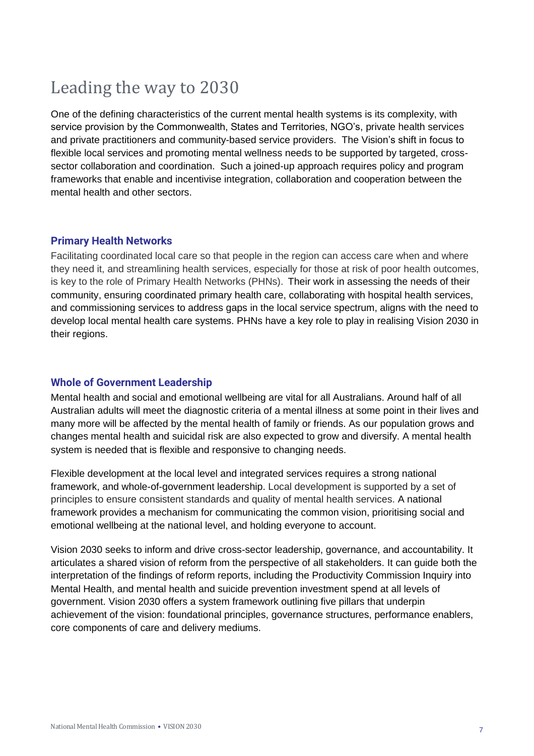### Leading the way to 2030

One of the defining characteristics of the current mental health systems is its complexity, with service provision by the Commonwealth, States and Territories, NGO's, private health services and private practitioners and community-based service providers. The Vision's shift in focus to flexible local services and promoting mental wellness needs to be supported by targeted, crosssector collaboration and coordination. Such a joined-up approach requires policy and program frameworks that enable and incentivise integration, collaboration and cooperation between the mental health and other sectors.

#### **Primary Health Networks**

Facilitating coordinated local care so that people in the region can access care when and where they need it, and streamlining health services, especially for those at risk of poor health outcomes, is key to the role of Primary Health Networks (PHNs). Their work in assessing the needs of their community, ensuring coordinated primary health care, collaborating with hospital health services, and commissioning services to address gaps in the local service spectrum, aligns with the need to develop local mental health care systems. PHNs have a key role to play in realising Vision 2030 in their regions.

#### **Whole of Government Leadership**

Mental health and social and emotional wellbeing are vital for all Australians. Around half of all Australian adults will meet the diagnostic criteria of a mental illness at some point in their lives and many more will be affected by the mental health of family or friends. As our population grows and changes mental health and suicidal risk are also expected to grow and diversify. A mental health system is needed that is flexible and responsive to changing needs.

Flexible development at the local level and integrated services requires a strong national framework, and whole-of-government leadership. Local development is supported by a set of principles to ensure consistent standards and quality of mental health services. A national framework provides a mechanism for communicating the common vision, prioritising social and emotional wellbeing at the national level, and holding everyone to account.

Vision 2030 seeks to inform and drive cross-sector leadership, governance, and accountability. It articulates a shared vision of reform from the perspective of all stakeholders. It can guide both the interpretation of the findings of reform reports, including the Productivity Commission Inquiry into Mental Health, and mental health and suicide prevention investment spend at all levels of government. Vision 2030 offers a system framework outlining five pillars that underpin achievement of the vision: foundational principles, governance structures, performance enablers, core components of care and delivery mediums.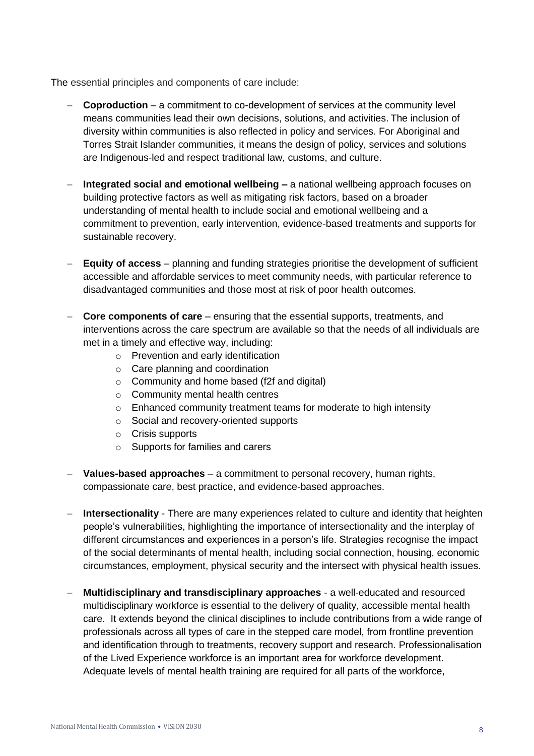The essential principles and components of care include:

- − **Coproduction** a commitment to co-development of services at the community level means communities lead their own decisions, solutions, and activities. The inclusion of diversity within communities is also reflected in policy and services. For Aboriginal and Torres Strait Islander communities, it means the design of policy, services and solutions are Indigenous-led and respect traditional law, customs, and culture.
- − **Integrated social and emotional wellbeing –** a national wellbeing approach focuses on building protective factors as well as mitigating risk factors, based on a broader understanding of mental health to include social and emotional wellbeing and a commitment to prevention, early intervention, evidence-based treatments and supports for sustainable recovery.
- − **Equity of access** planning and funding strategies prioritise the development of sufficient accessible and affordable services to meet community needs, with particular reference to disadvantaged communities and those most at risk of poor health outcomes.
- − **Core components of care** ensuring that the essential supports, treatments, and interventions across the care spectrum are available so that the needs of all individuals are met in a timely and effective way, including:
	- o Prevention and early identification
	- o Care planning and coordination
	- o Community and home based (f2f and digital)
	- o Community mental health centres
	- o Enhanced community treatment teams for moderate to high intensity
	- o Social and recovery-oriented supports
	- o Crisis supports
	- o Supports for families and carers
- − **Values-based approaches** a commitment to personal recovery, human rights, compassionate care, best practice, and evidence-based approaches.
- − **Intersectionality**  There are many experiences related to culture and identity that heighten people's vulnerabilities, highlighting the importance of intersectionality and the interplay of different circumstances and experiences in a person's life. Strategies recognise the impact of the social determinants of mental health, including social connection, housing, economic circumstances, employment, physical security and the intersect with physical health issues.
- − **Multidisciplinary and transdisciplinary approaches** a well-educated and resourced multidisciplinary workforce is essential to the delivery of quality, accessible mental health care. It extends beyond the clinical disciplines to include contributions from a wide range of professionals across all types of care in the stepped care model, from frontline prevention and identification through to treatments, recovery support and research. Professionalisation of the Lived Experience workforce is an important area for workforce development. Adequate levels of mental health training are required for all parts of the workforce,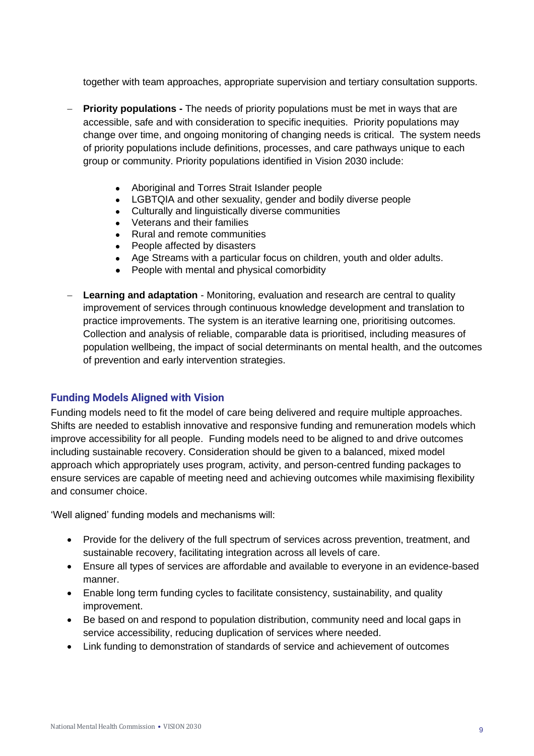together with team approaches, appropriate supervision and tertiary consultation supports.

- − **Priority populations -** The needs of priority populations must be met in ways that are accessible, safe and with consideration to specific inequities. Priority populations may change over time, and ongoing monitoring of changing needs is critical. The system needs of priority populations include definitions, processes, and care pathways unique to each group or community. Priority populations identified in Vision 2030 include:
	- Aboriginal and Torres Strait Islander people
	- LGBTQIA and other sexuality, gender and bodily diverse people
	- Culturally and linguistically diverse communities
	- Veterans and their families
	- Rural and remote communities
	- People affected by disasters
	- Age Streams with a particular focus on children, youth and older adults.
	- People with mental and physical comorbidity
- − **Learning and adaptation** Monitoring, evaluation and research are central to quality improvement of services through continuous knowledge development and translation to practice improvements. The system is an iterative learning one, prioritising outcomes. Collection and analysis of reliable, comparable data is prioritised, including measures of population wellbeing, the impact of social determinants on mental health, and the outcomes of prevention and early intervention strategies.

#### **Funding Models Aligned with Vision**

Funding models need to fit the model of care being delivered and require multiple approaches. Shifts are needed to establish innovative and responsive funding and remuneration models which improve accessibility for all people. Funding models need to be aligned to and drive outcomes including sustainable recovery. Consideration should be given to a balanced, mixed model approach which appropriately uses program, activity, and person-centred funding packages to ensure services are capable of meeting need and achieving outcomes while maximising flexibility and consumer choice.

'Well aligned' funding models and mechanisms will:

- Provide for the delivery of the full spectrum of services across prevention, treatment, and sustainable recovery, facilitating integration across all levels of care.
- Ensure all types of services are affordable and available to everyone in an evidence-based manner.
- Enable long term funding cycles to facilitate consistency, sustainability, and quality improvement.
- Be based on and respond to population distribution, community need and local gaps in service accessibility, reducing duplication of services where needed.
- Link funding to demonstration of standards of service and achievement of outcomes